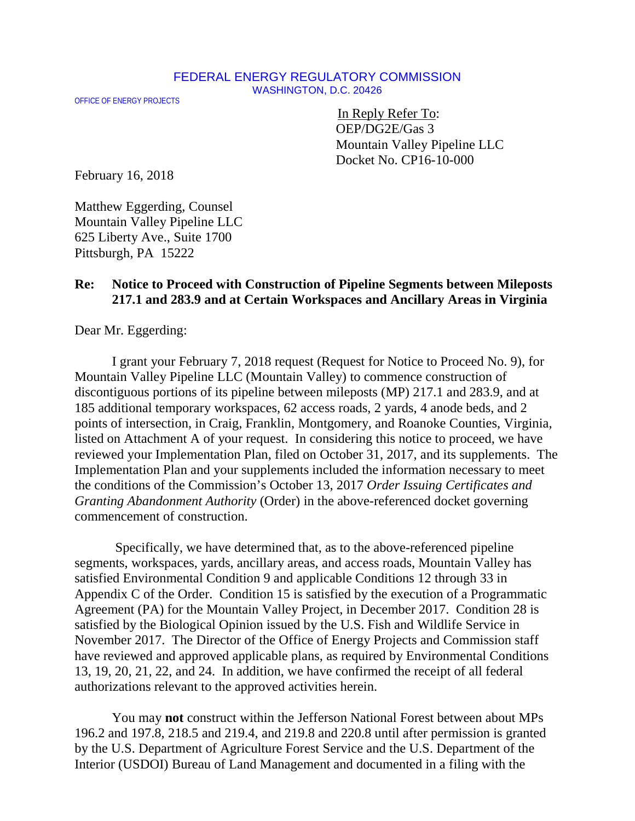## FEDERAL ENERGY REGULATORY COMMISSION WASHINGTON, D.C. 20426

OFFICE OF ENERGY PROJECTS

In Reply Refer To: OEP/DG2E/Gas 3 Mountain Valley Pipeline LLC Docket No. CP16-10-000

February 16, 2018

Matthew Eggerding, Counsel Mountain Valley Pipeline LLC 625 Liberty Ave., Suite 1700 Pittsburgh, PA 15222

## **Re: Notice to Proceed with Construction of Pipeline Segments between Mileposts 217.1 and 283.9 and at Certain Workspaces and Ancillary Areas in Virginia**

Dear Mr. Eggerding:

I grant your February 7, 2018 request (Request for Notice to Proceed No. 9), for Mountain Valley Pipeline LLC (Mountain Valley) to commence construction of discontiguous portions of its pipeline between mileposts (MP) 217.1 and 283.9, and at 185 additional temporary workspaces, 62 access roads, 2 yards, 4 anode beds, and 2 points of intersection, in Craig, Franklin, Montgomery, and Roanoke Counties, Virginia, listed on Attachment A of your request. In considering this notice to proceed, we have reviewed your Implementation Plan, filed on October 31, 2017, and its supplements.The Implementation Plan and your supplements included the information necessary to meet the conditions of the Commission's October 13, 2017 *Order Issuing Certificates and Granting Abandonment Authority* (Order) in the above-referenced docket governing commencement of construction.

Specifically, we have determined that, as to the above-referenced pipeline segments, workspaces, yards, ancillary areas, and access roads, Mountain Valley has satisfied Environmental Condition 9 and applicable Conditions 12 through 33 in Appendix C of the Order. Condition 15 is satisfied by the execution of a Programmatic Agreement (PA) for the Mountain Valley Project, in December 2017. Condition 28 is satisfied by the Biological Opinion issued by the U.S. Fish and Wildlife Service in November 2017. The Director of the Office of Energy Projects and Commission staff have reviewed and approved applicable plans, as required by Environmental Conditions 13, 19, 20, 21, 22, and 24. In addition, we have confirmed the receipt of all federal authorizations relevant to the approved activities herein.

You may **not** construct within the Jefferson National Forest between about MPs 196.2 and 197.8, 218.5 and 219.4, and 219.8 and 220.8 until after permission is granted by the U.S. Department of Agriculture Forest Service and the U.S. Department of the Interior (USDOI) Bureau of Land Management and documented in a filing with the